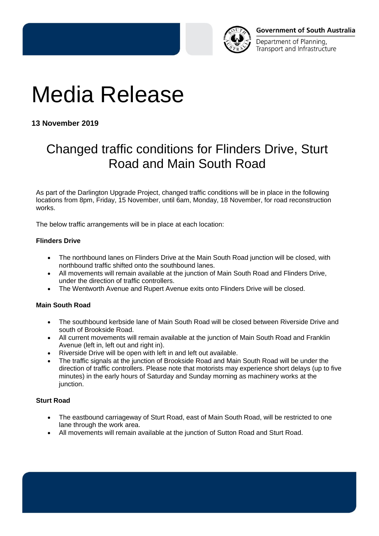

Department of Planning. Transport and Infrastructure

# Media Release

**13 November 2019** 

## Changed traffic conditions for Flinders Drive, Sturt Road and Main South Road

As part of the Darlington Upgrade Project, changed traffic conditions will be in place in the following locations from 8pm, Friday, 15 November, until 6am, Monday, 18 November, for road reconstruction works.

The below traffic arrangements will be in place at each location:

### **Flinders Drive**

- The northbound lanes on Flinders Drive at the Main South Road junction will be closed, with northbound traffic shifted onto the southbound lanes.
- All movements will remain available at the junction of Main South Road and Flinders Drive, under the direction of traffic controllers.
- The Wentworth Avenue and Rupert Avenue exits onto Flinders Drive will be closed.

### **Main South Road**

- The southbound kerbside lane of Main South Road will be closed between Riverside Drive and south of Brookside Road.
- All current movements will remain available at the junction of Main South Road and Franklin Avenue (left in, left out and right in).
- Riverside Drive will be open with left in and left out available.
- The traffic signals at the junction of Brookside Road and Main South Road will be under the direction of traffic controllers. Please note that motorists may experience short delays (up to five minutes) in the early hours of Saturday and Sunday morning as machinery works at the junction.

### **Sturt Road**

- The eastbound carriageway of Sturt Road, east of Main South Road, will be restricted to one lane through the work area.
- All movements will remain available at the junction of Sutton Road and Sturt Road.